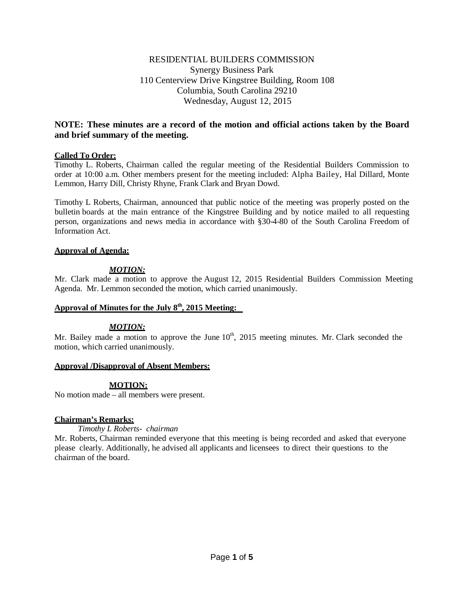## RESIDENTIAL BUILDERS COMMISSION Synergy Business Park 110 Centerview Drive Kingstree Building, Room 108 Columbia, South Carolina 29210 Wednesday, August 12, 2015

## **NOTE: These minutes are a record of the motion and official actions taken by the Board and brief summary of the meeting.**

## **Called To Order:**

Timothy L. Roberts, Chairman called the regular meeting of the Residential Builders Commission to order at 10:00 a.m. Other members present for the meeting included: Alpha Bailey, Hal Dillard, Monte Lemmon, Harry Dill, Christy Rhyne, Frank Clark and Bryan Dowd.

Timothy L Roberts, Chairman, announced that public notice of the meeting was properly posted on the bulletin boards at the main entrance of the Kingstree Building and by notice mailed to all requesting person, organizations and news media in accordance with §30-4-80 of the South Carolina Freedom of Information Act.

### **Approval of Agenda:**

## *MOTION:*

Mr. Clark made a motion to approve the August 12, 2015 Residential Builders Commission Meeting Agenda. Mr. Lemmon seconded the motion, which carried unanimously.

## **Approval of Minutes for the July 8th , 2015 Meeting:**

## *MOTION:*

Mr. Bailey made a motion to approve the June  $10<sup>th</sup>$ , 2015 meeting minutes. Mr. Clark seconded the motion, which carried unanimously.

### **Approval /Disapproval of Absent Members:**

## **MOTION:**

No motion made – all members were present.

### **Chairman's Remarks:**

### *Timothy L Roberts- chairman*

Mr. Roberts, Chairman reminded everyone that this meeting is being recorded and asked that everyone please clearly. Additionally, he advised all applicants and licensees to direct their questions to the chairman of the board.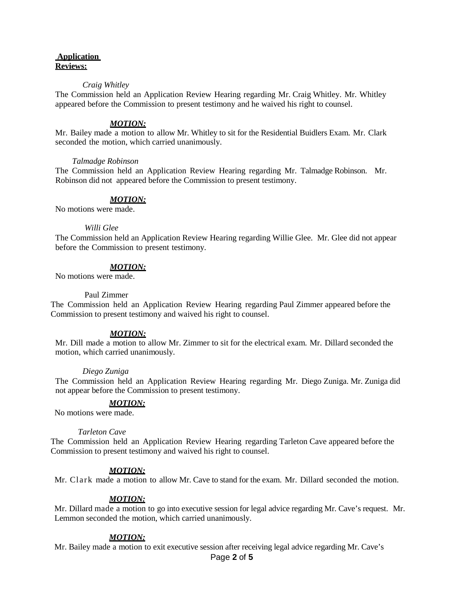## **Application Reviews:**

#### *Craig Whitley*

The Commission held an Application Review Hearing regarding Mr. Craig Whitley. Mr. Whitley appeared before the Commission to present testimony and he waived his right to counsel.

#### *MOTION:*

Mr. Bailey made a motion to allow Mr. Whitley to sit for the Residential Buidlers Exam. Mr. Clark seconded the motion, which carried unanimously.

#### *Talmadge Robinson*

The Commission held an Application Review Hearing regarding Mr. Talmadge Robinson. Mr. Robinson did not appeared before the Commission to present testimony.

#### *MOTION:*

No motions were made.

#### *Willi Glee*

The Commission held an Application Review Hearing regarding Willie Glee. Mr. Glee did not appear before the Commission to present testimony.

#### *MOTION:*

No motions were made.

#### Paul Zimmer

The Commission held an Application Review Hearing regarding Paul Zimmer appeared before the Commission to present testimony and waived his right to counsel.

#### *MOTION:*

Mr. Dill made a motion to allow Mr. Zimmer to sit for the electrical exam. Mr. Dillard seconded the motion, which carried unanimously.

#### *Diego Zuniga*

The Commission held an Application Review Hearing regarding Mr. Diego Zuniga. Mr. Zuniga did not appear before the Commission to present testimony.

#### *MOTION:*

No motions were made.

#### *Tarleton Cave*

The Commission held an Application Review Hearing regarding Tarleton Cave appeared before the Commission to present testimony and waived his right to counsel.

#### *MOTION:*

Mr. Clark made a motion to allow Mr. Cave to stand for the exam. Mr. Dillard seconded the motion.

#### *MOTION:*

Mr. Dillard made a motion to go into executive session for legal advice regarding Mr. Cave's request. Mr. Lemmon seconded the motion, which carried unanimously.

#### *MOTION:*

Mr. Bailey made a motion to exit executive session after receiving legal advice regarding Mr. Cave's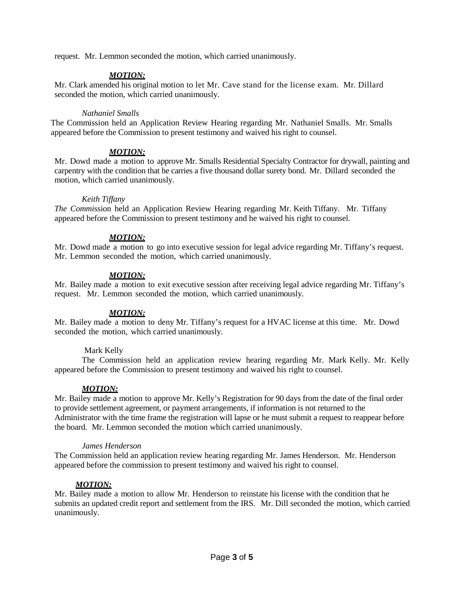request. Mr. Lemmon seconded the motion, which carried unanimously.

# *MOTION:*

Mr. Clark amended his original motion to let Mr. Cave stand for the license exam. Mr. Dillard seconded the motion, which carried unanimously.

### *Nathaniel Smalls*

The Commission held an Application Review Hearing regarding Mr. Nathaniel Smalls. Mr. Smalls appeared before the Commission to present testimony and waived his right to counsel.

## *MOTION:*

Mr. Dowd made a motion to approve Mr. Smalls Residential Specialty Contractor for drywall, painting and carpentry with the condition that he carries a five thousand dollar surety bond. Mr. Dillard seconded the motion, which carried unanimously.

## *Keith Tiffany*

*The Commi*ssion held an Application Review Hearing regarding Mr. Keith Tiffany. Mr. Tiffany appeared before the Commission to present testimony and he waived his right to counsel.

## *MOTION:*

Mr. Dowd made a motion to go into executive session for legal advice regarding Mr. Tiffany's request. Mr. Lemmon seconded the motion, which carried unanimously.

## *MOTION:*

Mr. Bailey made a motion to exit executive session after receiving legal advice regarding Mr. Tiffany's request. Mr. Lemmon seconded the motion, which carried unanimously.

## *MOTION:*

Mr. Bailey made a motion to deny Mr. Tiffany's request for a HVAC license at this time. Mr. Dowd seconded the motion, which carried unanimously.

## Mark Kelly

The Commission held an application review hearing regarding Mr. Mark Kelly. Mr. Kelly appeared before the Commission to present testimony and waived his right to counsel.

### *MOTION:*

Mr. Bailey made a motion to approve Mr. Kelly's Registration for 90 days from the date of the final order to provide settlement agreement, or payment arrangements, if information is not returned to the Administrator with the time frame the registration will lapse or he must submit a request to reappear before the board. Mr. Lemmon seconded the motion which carried unanimously.

### *James Henderson*

The Commission held an application review hearing regarding Mr. James Henderson. Mr. Henderson appeared before the commission to present testimony and waived his right to counsel.

## *MOTION:*

Mr. Bailey made a motion to allow Mr. Henderson to reinstate his license with the condition that he submits an updated credit report and settlement from the IRS. Mr. Dill seconded the motion, which carried unanimously.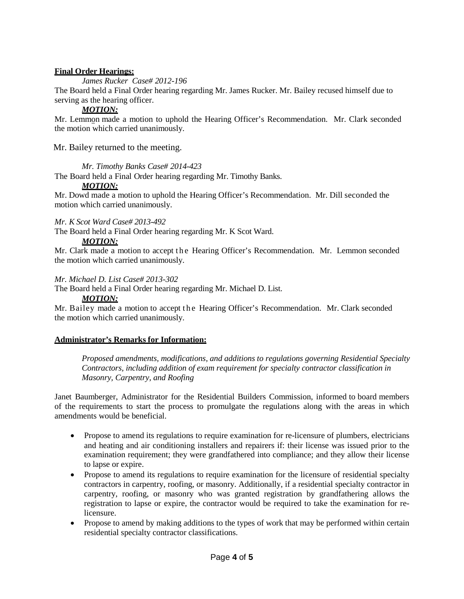## **Final Order Hearings:**

*James Rucker Case# 2012-196*

The Board held a Final Order hearing regarding Mr. James Rucker. Mr. Bailey recused himself due to serving as the hearing officer.

# *MOTION:*

Mr. Lemmon made a motion to uphold the Hearing Officer's Recommendation. Mr. Clark seconded the motion which carried unanimously.

Mr. Bailey returned to the meeting.

*Mr. Timothy Banks Case# 2014-423*

The Board held a Final Order hearing regarding Mr. Timothy Banks.

### *MOTION:*

Mr. Dowd made a motion to uphold the Hearing Officer's Recommendation. Mr. Dill seconded the motion which carried unanimously.

## *Mr. K Scot Ward Case# 2013-492*

The Board held a Final Order hearing regarding Mr. K Scot Ward.

## *MOTION:*

Mr. Clark made a motion to accept the Hearing Officer's Recommendation. Mr. Lemmon seconded the motion which carried unanimously.

## *Mr. Michael D. List Case# 2013-302*

The Board held a Final Order hearing regarding Mr. Michael D. List.

*MOTION:*

Mr. Bailey made a motion to accept the Hearing Officer's Recommendation. Mr. Clark seconded the motion which carried unanimously.

## **Administrator's Remarks for Information:**

*Proposed amendments, modifications, and additions to regulations governing Residential Specialty Contractors, including addition of exam requirement for specialty contractor classification in Masonry, Carpentry, and Roofing*

Janet Baumberger, Administrator for the Residential Builders Commission, informed to board members of the requirements to start the process to promulgate the regulations along with the areas in which amendments would be beneficial.

- Propose to amend its regulations to require examination for re-licensure of plumbers, electricians and heating and air conditioning installers and repairers if: their license was issued prior to the examination requirement; they were grandfathered into compliance; and they allow their license to lapse or expire.
- Propose to amend its regulations to require examination for the licensure of residential specialty contractors in carpentry, roofing, or masonry. Additionally, if a residential specialty contractor in carpentry, roofing, or masonry who was granted registration by grandfathering allows the registration to lapse or expire, the contractor would be required to take the examination for relicensure.
- Propose to amend by making additions to the types of work that may be performed within certain residential specialty contractor classifications.